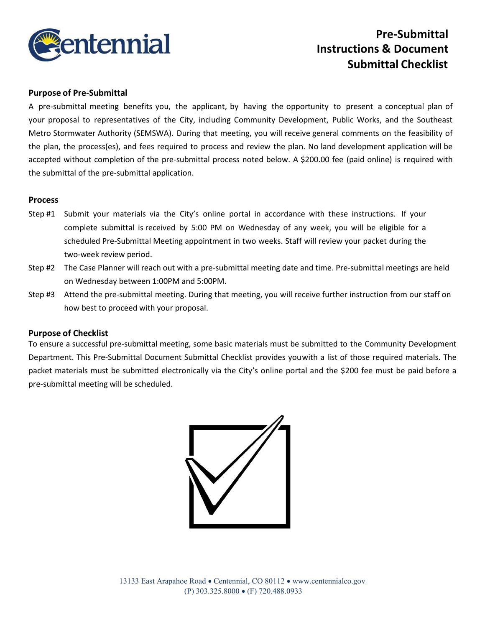

# **Pre-Submittal Instructions & Document Submittal Checklist**

### **Purpose of Pre-Submittal**

A pre-submittal meeting benefits you, the applicant, by having the opportunity to present a conceptual plan of your proposal to representatives of the City, including Community Development, Public Works, and the Southeast Metro Stormwater Authority (SEMSWA). During that meeting, you will receive general comments on the feasibility of the plan, the process(es), and fees required to process and review the plan. No land development application will be accepted without completion of the pre-submittal process noted below. A \$200.00 fee (paid online) is required with the submittal of the pre-submittal application.

#### **Process**

- Step #1 Submit your materials via the City's online portal in accordance with these instructions. If your complete submittal is received by 5:00 PM on Wednesday of any week, you will be eligible for a scheduled Pre-Submittal Meeting appointment in two weeks. Staff will review your packet during the two-week review period.
- Step #2 The Case Planner will reach out with a pre-submittal meeting date and time. Pre-submittal meetings are held on Wednesday between 1:00PM and 5:00PM.
- Step #3 Attend the pre-submittal meeting. During that meeting, you will receive further instruction from our staff on how best to proceed with your proposal.

#### **Purpose of Checklist**

To ensure a successful pre-submittal meeting, some basic materials must be submitted to the Community Development Department. This Pre-Submittal Document Submittal Checklist provides youwith a list of those required materials. The packet materials must be submitted electronically via the City's online portal and the \$200 fee must be paid before a pre-submittal meeting will be scheduled.

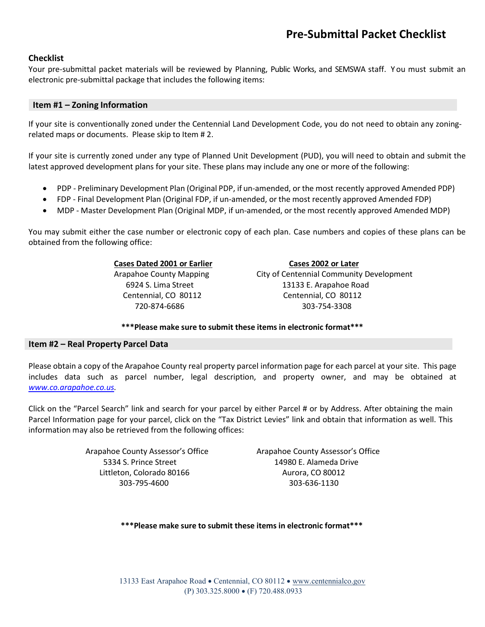## **Checklist**

Your pre-submittal packet materials will be reviewed by Planning, Public Works, and SEMSWA staff. Y ou must submit an electronic pre-submittal package that includes the following items:

#### **Item #1 – Zoning Information**

If your site is conventionally zoned under the Centennial Land Development Code, you do not need to obtain any zoningrelated maps or documents. Please skip to Item # 2.

If your site is currently zoned under any type of Planned Unit Development (PUD), you will need to obtain and submit the latest approved development plans for your site. These plans may include any one or more of the following:

- PDP Preliminary Development Plan (Original PDP, if un-amended, or the most recently approved Amended PDP)
- FDP Final Development Plan (Original FDP, if un-amended, or the most recently approved Amended FDP)
- MDP Master Development Plan (Original MDP, if un-amended, or the most recently approved Amended MDP)

You may submit either the case number or electronic copy of each plan. Case numbers and copies of these plans can be obtained from the following office:

**Cases Dated 2001 or Earlier Cases 2002 or Later** Arapahoe County Mapping **City of Centennial Community Development** 6924 S. Lima Street 13133 E. Arapahoe Road Centennial, CO 80112 Centennial, CO 80112 720-874-6686 303-754-3308

**\*\*\*Please make sure to submit these items in electronic format\*\*\***

#### **Item #2 – Real Property Parcel Data**

Please obtain a copy of the Arapahoe County real property parcel information page for each parcel at yoursite. This page includes data such as parcel number, legal description, and property owner, and may be obtained at *[www.co.arapahoe.co.us.](http://www.co.arapahoe.co.us/)*

Click on the "Parcel Search" link and search for your parcel by either Parcel # or by Address. After obtaining the main Parcel Information page for your parcel, click on the "Tax District Levies" link and obtain that information as well. This information may also be retrieved from the following offices:

> 5334 S. Prince Street 14980 E. Alameda Drive Littleton, Colorado 80166 Aurora, CO 80012 303-795-4600 303-636-1130

Arapahoe County Assessor's Office Arapahoe County Assessor's Office

**\*\*\*Please make sure to submit these items in electronic format\*\*\***